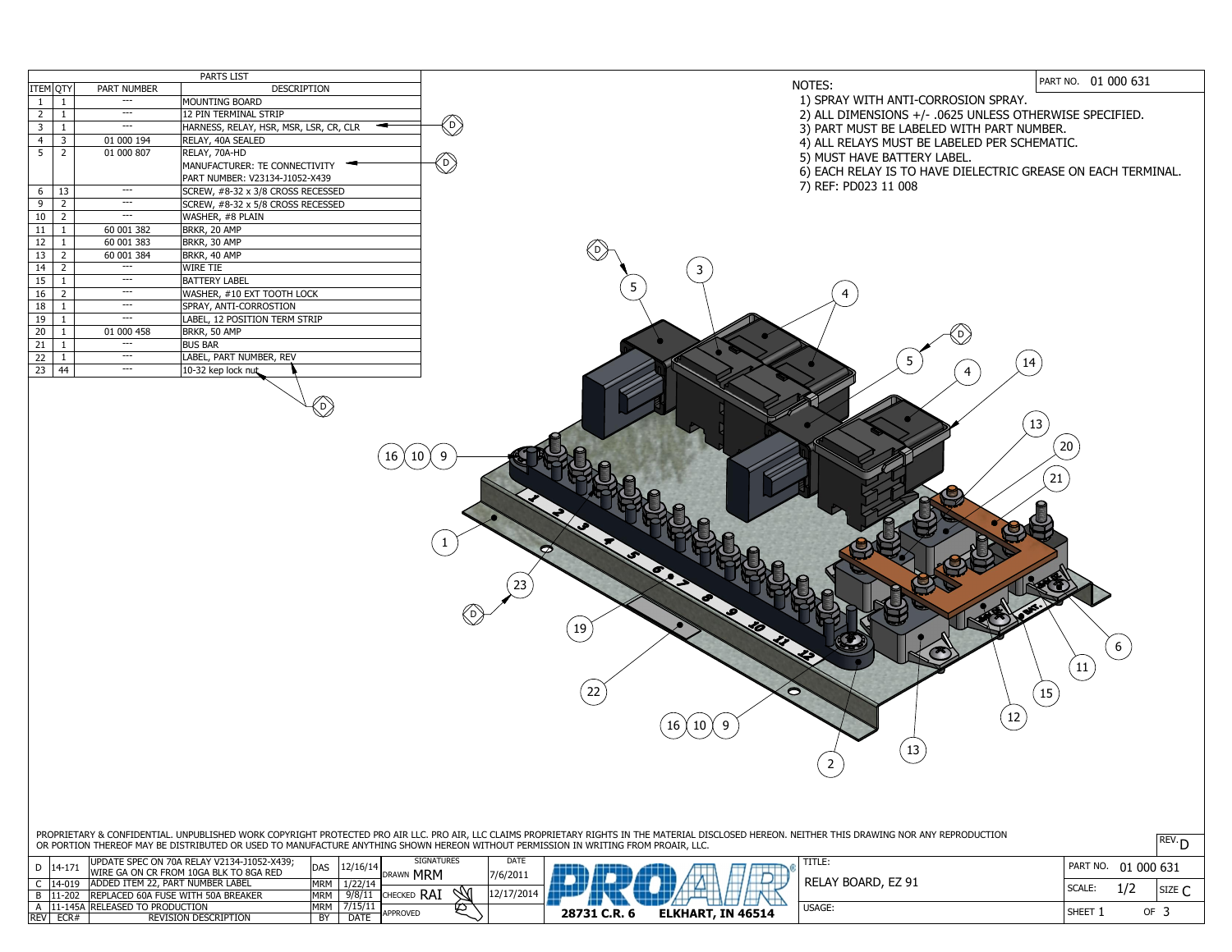PART NO. 01 000 631

SCALE:

SIZE  $\mathsf{C}$ 

OF 3

USAGE:

|                |                |                    | <b>PARTS LIST</b>                      |  |
|----------------|----------------|--------------------|----------------------------------------|--|
| ITEM QTY       |                | <b>PART NUMBER</b> | <b>DESCRIPTION</b>                     |  |
| $\mathbf{1}$   | $\mathbf{1}$   |                    | <b>MOUNTING BOARD</b>                  |  |
| $\overline{2}$ | $\mathbf{1}$   |                    | <b>12 PIN TERMINAL STRIP</b>           |  |
| 3              | $\mathbf{1}$   | ---                | HARNESS, RELAY, HSR, MSR, LSR, CR, CLR |  |
| 4              | $\overline{3}$ | 01 000 194         | RELAY, 40A SEALED                      |  |
| 5              | $\overline{2}$ | 01 000 807         | RELAY, 70A-HD                          |  |
|                |                |                    | <b>MANUFACTURER: TE CONNECTIVITY</b>   |  |
|                |                |                    | PART NUMBER: V23134-J1052-X439         |  |
| 6              | 13             | ---                | SCREW, #8-32 x 3/8 CROSS RECESSED      |  |
| 9              | $\overline{2}$ |                    | SCREW, #8-32 x 5/8 CROSS RECESSED      |  |
| 10             | $\overline{2}$ |                    | WASHER, #8 PLAIN                       |  |
| 11             | $\mathbf{1}$   | 60 001 382         | BRKR, 20 AMP                           |  |
| 12             | $\mathbf{1}$   | 60 001 383         | BRKR, 30 AMP                           |  |
| 13             | $\overline{2}$ | 60 001 384         | BRKR, 40 AMP                           |  |
| 14             | $\overline{2}$ |                    | <b>WIRE TIE</b>                        |  |
| 15             | $\mathbf{1}$   |                    | <b>BATTERY LABEL</b>                   |  |
| 16             | $\overline{2}$ |                    | WASHER, #10 EXT TOOTH LOCK             |  |
| 18             | $\mathbf{1}$   | ---                | SPRAY, ANTI-CORROSTION                 |  |
| 19             | 1              |                    | LABEL, 12 POSITION TERM STRIP          |  |
| 20             | 1              | 01 000 458         | BRKR, 50 AMP                           |  |
| 21             | 1              |                    | <b>BUS BAR</b>                         |  |
| 22             | $\mathbf{1}$   |                    | LABEL, PART NUMBER, REV                |  |
| 23             | 44             | ---                | 10-32 kep lock nut                     |  |
|                |                |                    |                                        |  |

 $($  16  $($  10  $($  9

| PROPRIETARY & CONFIDENTIAL. UNPUBLISHED WORK COPYRIGHT PROTECTED PRO AIR LLC. PRO AIR, LLC CLAIMS PROPRIETARY RIGHTS IN THE MATERIAL DISCLOSED HEREON. NEITHER THIS DRAWING NOR ANY REPRODUCTION |  |
|--------------------------------------------------------------------------------------------------------------------------------------------------------------------------------------------------|--|
| OR PORTION THEREOF MAY BE DISTRIBUTED OR USED TO MANUFACTURE ANYTHING SHOWN HEREON WITHOUT PERMISSION IN WRITING FROM PROAIR, LLC.                                                               |  |

RELAY BOARD, EZ 91

1/2

SHEET 1

1

## NOTES:

| <b>REV</b> | ECR#         | <b>REVISION DESCRIPTION</b>                | BY         | <b>DATE</b> | APPROVED                        |             | 28731 C.R. | <b>ELKHART, IN 46514</b> |
|------------|--------------|--------------------------------------------|------------|-------------|---------------------------------|-------------|------------|--------------------------|
|            |              | 11-145A RELEASED TO PRODUCTION             | <b>MRM</b> |             |                                 |             |            |                          |
|            | $11-202$     | <b>REPLACED 60A FUSE WITH 50A BREAKER</b>  | <b>MRM</b> | $9/8/1$ .   | $\mathcal{N}$<br><b>CHECKED</b> |             |            |                          |
|            | 14-019       | ADDED ITEM 22, PART NUMBER LABEL           | <b>MRM</b> | 1/22/14     |                                 |             |            |                          |
|            | $D$   14-17. | IWIRE GA ON CR FROM 10GA BLK TO 8GA RED    | <b>DAS</b> |             | <b>MRM</b><br>IDRAWN            | $7/6/201$ . |            |                          |
|            |              | UPDATE SPEC ON 70A RELAY V2134-J1052-X439; |            | 12/16/14    | <b>SIGNATURES</b>               | <b>DATE</b> |            |                          |

- 1) SPRAY WITH ANTI-CORROSION SPRAY.
- 2) ALL DIMENSIONS +/- .0625 UNLESS OTHERWISE SPECIFIED.
- 3) PART MUST BE LABELED WITH PART NUMBER.
- 4) ALL RELAYS MUST BE LABELED PER SCHEMATIC.
- 5) MUST HAVE BATTERY LABEL.
- 6) EACH RELAY IS TO HAVE DIELECTRIC GREASE ON EACH TERMINAL.
- 7) REF: PD023 11 008



23

 $\left( 22\right)$ 

5

D

 $\Big(19\Big)$ 

D

D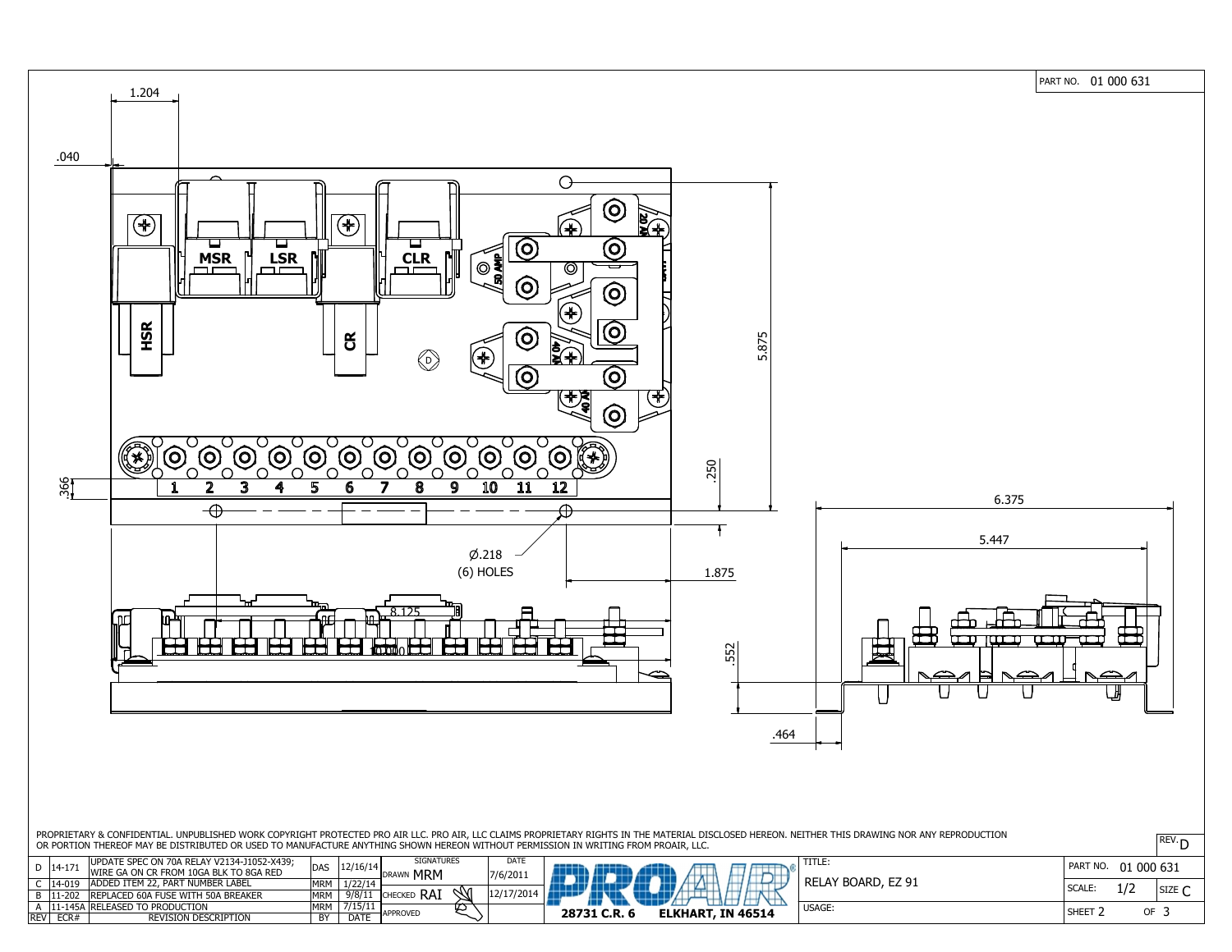

PART NO. 01 000 631